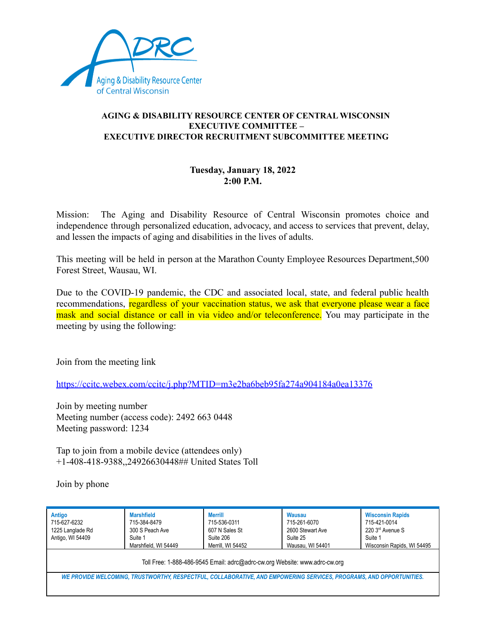

## **AGING & DISABILITY RESOURCE CENTER OF CENTRAL WISCONSIN EXECUTIVE COMMITTEE – EXECUTIVE DIRECTOR RECRUITMENT SUBCOMMITTEE MEETING**

## **Tuesday, January 18, 2022 2:00 P.M.**

Mission: The Aging and Disability Resource of Central Wisconsin promotes choice and independence through personalized education, advocacy, and access to services that prevent, delay, and lessen the impacts of aging and disabilities in the lives of adults.

This meeting will be held in person at the Marathon County Employee Resources Department,500 Forest Street, Wausau, WI.

Due to the COVID-19 pandemic, the CDC and associated local, state, and federal public health recommendations, regardless of your vaccination status, we ask that everyone please wear a face mask and social distance or call in via video and/or teleconference. You may participate in the meeting by using the following:

Join from the meeting link

<https://ccitc.webex.com/ccitc/j.php?MTID=m3e2ba6beb95fa274a904184a0ea13376>

Join by meeting number Meeting number (access code): 2492 663 0448 Meeting password: 1234

Tap to join from a mobile device (attendees only) +1-408-418-9388,,24926630448## United States Toll

Join by phone

| Antigo<br>715-627-6232<br>1225 Langlade Rd<br>Antigo, WI 54409                                                      | <b>Marshfield</b><br>715-384-8479<br>300 S Peach Ave<br>Suite 1<br>Marshfield, WI 54449 | <b>Merrill</b><br>715-536-0311<br>607 N Sales St<br>Suite 206<br>Merrill. WI 54452 | <b>Wausau</b><br>715-261-6070<br>2600 Stewart Ave<br>Suite 25<br>Wausau, WI 54401 | <b>Wisconsin Rapids</b><br>715-421-0014<br>220 3rd Avenue S<br>Suite 1<br>Wisconsin Rapids, WI 54495 |
|---------------------------------------------------------------------------------------------------------------------|-----------------------------------------------------------------------------------------|------------------------------------------------------------------------------------|-----------------------------------------------------------------------------------|------------------------------------------------------------------------------------------------------|
| Toll Free: 1-888-486-9545 Email: adrc@adrc-cw.org Website: www.adrc-cw.org                                          |                                                                                         |                                                                                    |                                                                                   |                                                                                                      |
| WE PROVIDE WELCOMING, TRUSTWORTHY, RESPECTFUL, COLLABORATIVE, AND EMPOWERING SERVICES, PROGRAMS, AND OPPORTUNITIES. |                                                                                         |                                                                                    |                                                                                   |                                                                                                      |